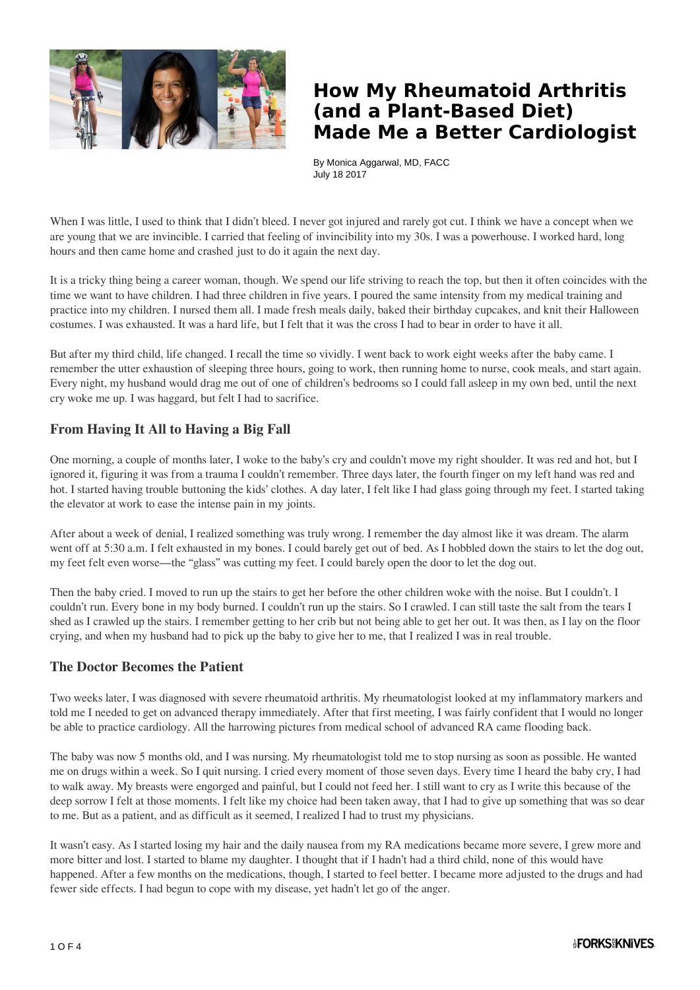

## **How My Rheumatoid Arthritis (and a Plant-Based Diet) Made Me a Better Cardiologist**

By Monica Aggarwal, MD, FACC July 18 2017

When I was little, I used to think that I didn't bleed. I never got injured and rarely got cut. I think we have a concept when we are young that we are invincible. I carried that feeling of invincibility into my 30s. I was a powerhouse. I worked hard, long hours and then came home and crashed just to do it again the next day.

It is a tricky thing being a career woman, though. We spend our life striving to reach the top, but then it often coincides with the time we want to have children. I had three children in five years. I poured the same intensity from my medical training and practice into my children. I nursed them all. I made fresh meals daily, baked their birthday cupcakes, and knit their Halloween costumes. I was exhausted. It was a hard life, but I felt that it was the cross I had to bear in order to have it all.

But after my third child, life changed. I recall the time so vividly. I went back to work eight weeks after the baby came. I remember the utter exhaustion of sleeping three hours, going to work, then running home to nurse, cook meals, and start again. Every night, my husband would drag me out of one of children's bedrooms so I could fall asleep in my own bed, until the next cry woke me up. I was haggard, but felt I had to sacrifice.

### **From Having It All to Having a Big Fall**

One morning, a couple of months later, I woke to the baby's cry and couldn't move my right shoulder. It was red and hot, but I ignored it, figuring it was from a trauma I couldn't remember. Three days later, the fourth finger on my left hand was red and hot. I started having trouble buttoning the kids' clothes. A day later, I felt like I had glass going through my feet. I started taking the elevator at work to ease the intense pain in my joints.

After about a week of denial, I realized something was truly wrong. I remember the day almost like it was dream. The alarm went off at 5:30 a.m. I felt exhausted in my bones. I could barely get out of bed. As I hobbled down the stairs to let the dog out, my feet felt even worse—the "glass" was cutting my feet. I could barely open the door to let the dog out.

Then the baby cried. I moved to run up the stairs to get her before the other children woke with the noise. But I couldn't. I couldn't run. Every bone in my body burned. I couldn't run up the stairs. So I crawled. I can still taste the salt from the tears I shed as I crawled up the stairs. I remember getting to her crib but not being able to get her out. It was then, as I lay on the floor crying, and when my husband had to pick up the baby to give her to me, that I realized I was in real trouble.

#### **The Doctor Becomes the Patient**

Two weeks later, I was diagnosed with severe rheumatoid arthritis. My rheumatologist looked at my inflammatory markers and told me I needed to get on advanced therapy immediately. After that first meeting, I was fairly confident that I would no longer be able to practice cardiology. All the harrowing pictures from medical school of advanced RA came flooding back.

The baby was now 5 months old, and I was nursing. My rheumatologist told me to stop nursing as soon as possible. He wanted me on drugs within a week. So I quit nursing. I cried every moment of those seven days. Every time I heard the baby cry, I had to walk away. My breasts were engorged and painful, but I could not feed her. I still want to cry as I write this because of the deep sorrow I felt at those moments. I felt like my choice had been taken away, that I had to give up something that was so dear to me. But as a patient, and as difficult as it seemed, I realized I had to trust my physicians.

It wasn't easy. As I started losing my hair and the daily nausea from my RA medications became more severe, I grew more and more bitter and lost. I started to blame my daughter. I thought that if I hadn't had a third child, none of this would have happened. After a few months on the medications, though, I started to feel better. I became more adjusted to the drugs and had fewer side effects. I had begun to cope with my disease, yet hadn't let go of the anger.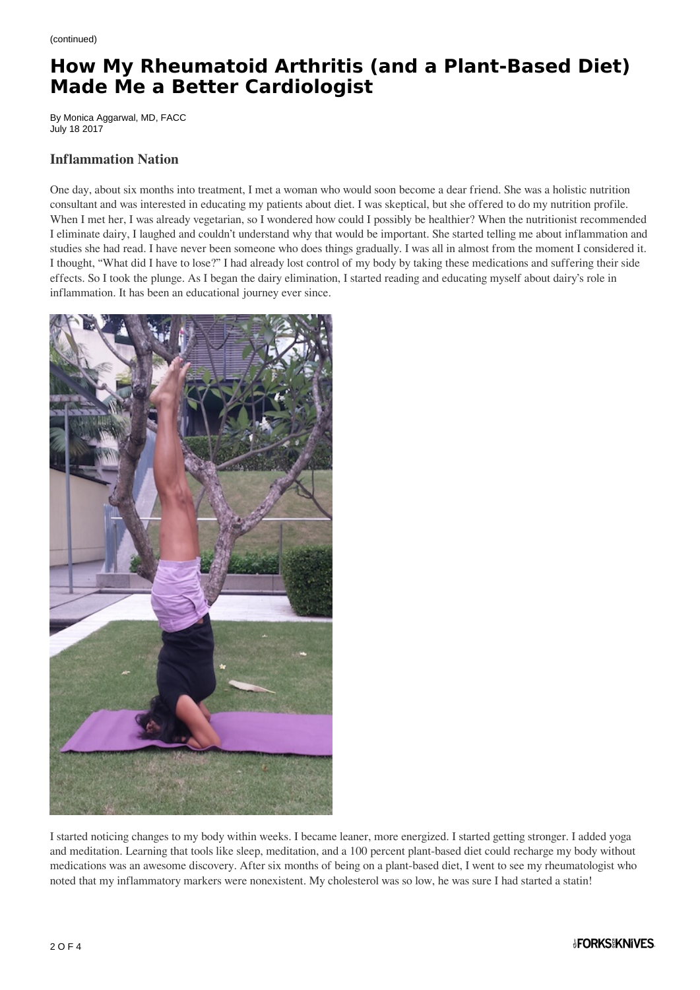# **How My Rheumatoid Arthritis (and a Plant-Based Diet) Made Me a Better Cardiologist**

By Monica Aggarwal, MD, FACC July 18 2017

#### **Inflammation Nation**

One day, about six months into treatment, I met a woman who would soon become a dear friend. She was a holistic nutrition consultant and was interested in educating my patients about diet. I was skeptical, but she offered to do my nutrition profile. When I met her, I was already vegetarian, so I wondered how could I possibly be healthier? When the nutritionist recommended I eliminate dairy, I laughed and couldn't understand why that would be important. She started telling me about inflammation and studies she had read. I have never been someone who does things gradually. I was all in almost from the moment I considered it. I thought, "What did I have to lose?" I had already lost control of my body by taking these medications and suffering their side effects. So I took the plunge. As I began the dairy elimination, I started reading and educating myself about dairy's role in inflammation. It has been an educational journey ever since.



I started noticing changes to my body within weeks. I became leaner, more energized. I started getting stronger. I added yoga and meditation. Learning that tools like sleep, meditation, and a 100 percent plant-based diet could recharge my body without medications was an awesome discovery. After six months of being on a plant-based diet, I went to see my rheumatologist who noted that my inflammatory markers were nonexistent. My cholesterol was so low, he was sure I had started a statin!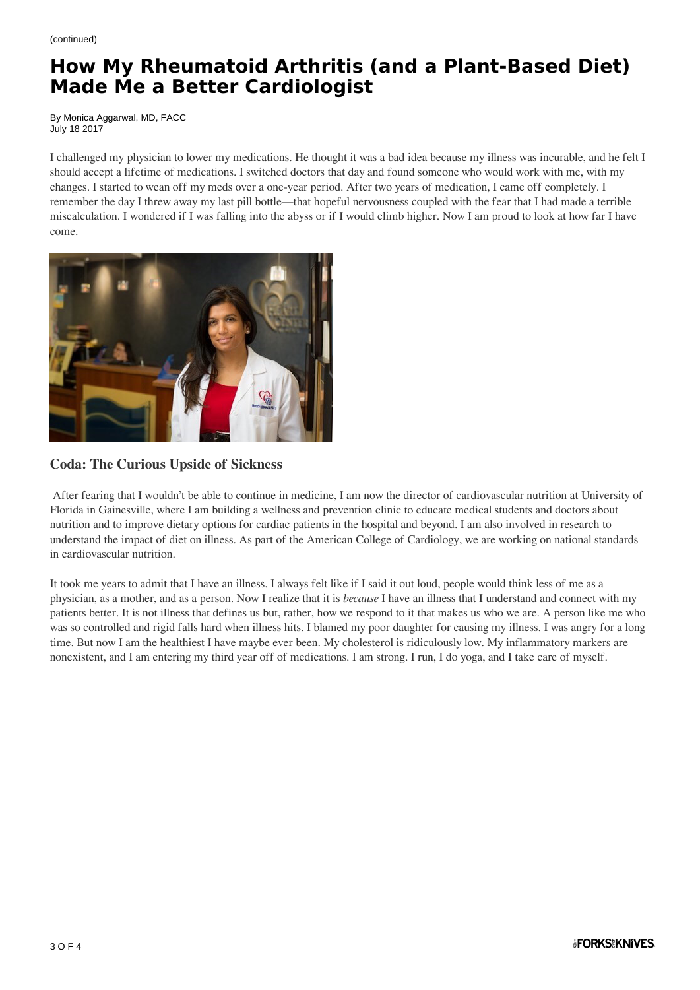# **How My Rheumatoid Arthritis (and a Plant-Based Diet) Made Me a Better Cardiologist**

By Monica Aggarwal, MD, FACC July 18 2017

I challenged my physician to lower my medications. He thought it was a bad idea because my illness was incurable, and he felt I should accept a lifetime of medications. I switched doctors that day and found someone who would work with me, with my changes. I started to wean off my meds over a one-year period. After two years of medication, I came off completely. I remember the day I threw away my last pill bottle—that hopeful nervousness coupled with the fear that I had made a terrible miscalculation. I wondered if I was falling into the abyss or if I would climb higher. Now I am proud to look at how far I have come.



### **Coda: The Curious Upside of Sickness**

After fearing that I wouldn't be able to continue in medicine, I am now the director of cardiovascular nutrition at University of Florida in Gainesville, where I am building a wellness and prevention clinic to educate medical students and doctors about nutrition and to improve dietary options for cardiac patients in the hospital and beyond. I am also involved in research to understand the impact of diet on illness. As part of the American College of Cardiology, we are working on national standards in cardiovascular nutrition.

It took me years to admit that I have an illness. I always felt like if I said it out loud, people would think less of me as a physician, as a mother, and as a person. Now I realize that it is *because* I have an illness that I understand and connect with my patients better. It is not illness that defines us but, rather, how we respond to it that makes us who we are. A person like me who was so controlled and rigid falls hard when illness hits. I blamed my poor daughter for causing my illness. I was angry for a long time. But now I am the healthiest I have maybe ever been. My cholesterol is ridiculously low. My inflammatory markers are nonexistent, and I am entering my third year off of medications. I am strong. I run, I do yoga, and I take care of myself.